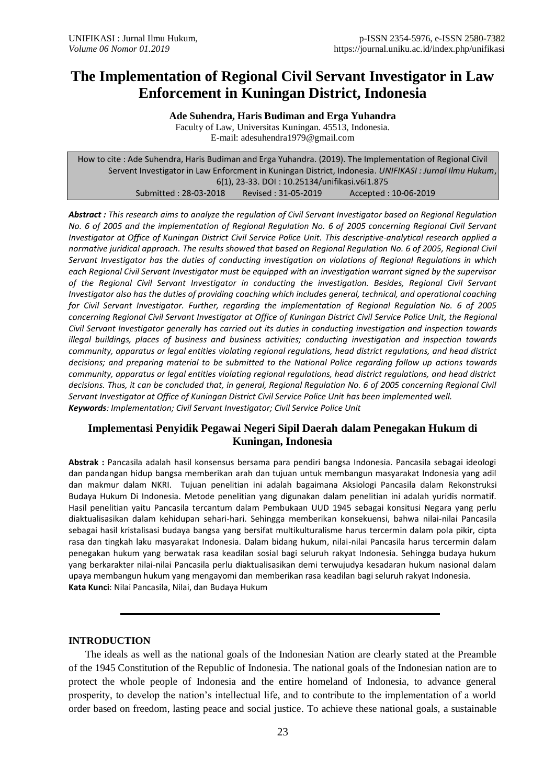# **The Implementation of Regional Civil Servant Investigator in Law Enforcement in Kuningan District, Indonesia**

**Ade Suhendra, Haris Budiman and Erga Yuhandra** Faculty of Law, Universitas Kuningan. 45513, Indonesia. E-mail: [adesuhendra1979@gmail.com](mailto:adesuhendra1979@gmail.com)

How to cite : Ade Suhendra, Haris Budiman and Erga Yuhandra. (2019). The Implementation of Regional Civil Servent Investigator in Law Enforcment in Kuningan District, Indonesia. *UNIFIKASI : Jurnal Ilmu Hukum*, 6(1), 23-33. DOI : 10.25134/unifikasi.v6i1.875 Submitted : 28-03-2018 Revised : 31-05-2019 Accepted : 10-06-2019

*Abstract : This research aims to analyze the regulation of Civil Servant Investigator based on Regional Regulation No. 6 of 2005 and the implementation of Regional Regulation No. 6 of 2005 concerning Regional Civil Servant Investigator at Office of Kuningan District Civil Service Police Unit. This descriptive-analytical research applied a normative juridical approach. The results showed that based on Regional Regulation No. 6 of 2005, Regional Civil Servant Investigator has the duties of conducting investigation on violations of Regional Regulations in which each Regional Civil Servant Investigator must be equipped with an investigation warrant signed by the supervisor of the Regional Civil Servant Investigator in conducting the investigation. Besides, Regional Civil Servant Investigator also has the duties of providing coaching which includes general, technical, and operational coaching for Civil Servant Investigator. Further, regarding the implementation of Regional Regulation No. 6 of 2005 concerning Regional Civil Servant Investigator at Office of Kuningan District Civil Service Police Unit, the Regional Civil Servant Investigator generally has carried out its duties in conducting investigation and inspection towards illegal buildings, places of business and business activities; conducting investigation and inspection towards community, apparatus or legal entities violating regional regulations, head district regulations, and head district decisions; and preparing material to be submitted to the National Police regarding follow up actions towards community, apparatus or legal entities violating regional regulations, head district regulations, and head district*  decisions. Thus, it can be concluded that, in general, Regional Regulation No. 6 of 2005 concerning Regional Civil *Servant Investigator at Office of Kuningan District Civil Service Police Unit has been implemented well. Keywords: Implementation; Civil Servant Investigator; Civil Service Police Unit*

# **Implementasi Penyidik Pegawai Negeri Sipil Daerah dalam Penegakan Hukum di Kuningan, Indonesia**

**Abstrak :** Pancasila adalah hasil konsensus bersama para pendiri bangsa Indonesia. Pancasila sebagai ideologi dan pandangan hidup bangsa memberikan arah dan tujuan untuk membangun masyarakat Indonesia yang adil dan makmur dalam NKRI. Tujuan penelitian ini adalah bagaimana Aksiologi Pancasila dalam Rekonstruksi Budaya Hukum Di Indonesia. Metode penelitian yang digunakan dalam penelitian ini adalah yuridis normatif. Hasil penelitian yaitu Pancasila tercantum dalam Pembukaan UUD 1945 sebagai konsitusi Negara yang perlu diaktualisasikan dalam kehidupan sehari-hari. Sehingga memberikan konsekuensi, bahwa nilai-nilai Pancasila sebagai hasil kristalisasi budaya bangsa yang bersifat multikulturalisme harus tercermin dalam pola pikir, cipta rasa dan tingkah laku masyarakat Indonesia. Dalam bidang hukum, nilai-nilai Pancasila harus tercermin dalam penegakan hukum yang berwatak rasa keadilan sosial bagi seluruh rakyat Indonesia. Sehingga budaya hukum yang berkarakter nilai-nilai Pancasila perlu diaktualisasikan demi terwujudya kesadaran hukum nasional dalam upaya membangun hukum yang mengayomi dan memberikan rasa keadilan bagi seluruh rakyat Indonesia. **Kata Kunci**: Nilai Pancasila, Nilai, dan Budaya Hukum

# **INTRODUCTION**

The ideals as well as the national goals of the Indonesian Nation are clearly stated at the Preamble of the 1945 Constitution of the Republic of Indonesia. The national goals of the Indonesian nation are to protect the whole people of Indonesia and the entire homeland of Indonesia, to advance general prosperity, to develop the nation's intellectual life, and to contribute to the implementation of a world order based on freedom, lasting peace and social justice. To achieve these national goals, a sustainable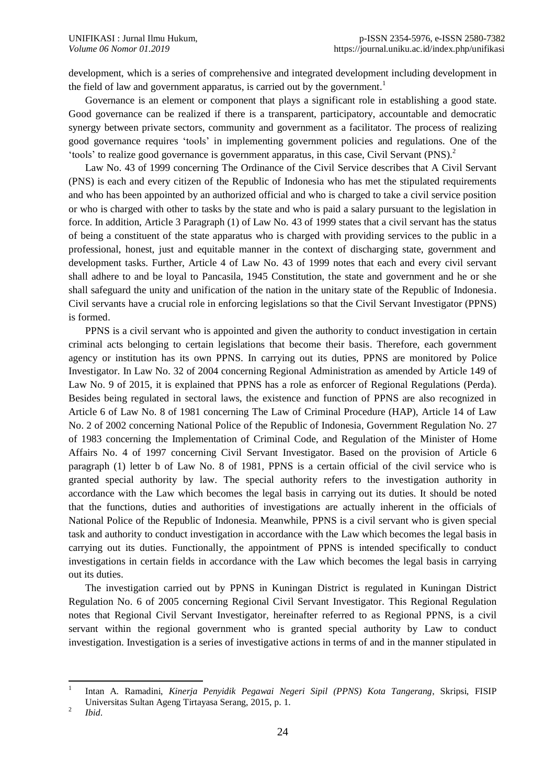development, which is a series of comprehensive and integrated development including development in the field of law and government apparatus, is carried out by the government.<sup>1</sup>

Governance is an element or component that plays a significant role in establishing a good state. Good governance can be realized if there is a transparent, participatory, accountable and democratic synergy between private sectors, community and government as a facilitator. The process of realizing good governance requires 'tools' in implementing government policies and regulations. One of the 'tools' to realize good governance is government apparatus, in this case, Civil Servant (PNS).<sup>2</sup>

Law No. 43 of 1999 concerning The Ordinance of the Civil Service describes that A Civil Servant (PNS) is each and every citizen of the Republic of Indonesia who has met the stipulated requirements and who has been appointed by an authorized official and who is charged to take a civil service position or who is charged with other to tasks by the state and who is paid a salary pursuant to the legislation in force. In addition, Article 3 Paragraph (1) of Law No. 43 of 1999 states that a civil servant has the status of being a constituent of the state apparatus who is charged with providing services to the public in a professional, honest, just and equitable manner in the context of discharging state, government and development tasks. Further, Article 4 of Law No. 43 of 1999 notes that each and every civil servant shall adhere to and be loyal to Pancasila, 1945 Constitution, the state and government and he or she shall safeguard the unity and unification of the nation in the unitary state of the Republic of Indonesia. Civil servants have a crucial role in enforcing legislations so that the Civil Servant Investigator (PPNS) is formed.

PPNS is a civil servant who is appointed and given the authority to conduct investigation in certain criminal acts belonging to certain legislations that become their basis. Therefore, each government agency or institution has its own PPNS. In carrying out its duties, PPNS are monitored by Police Investigator. In Law No. 32 of 2004 concerning Regional Administration as amended by Article 149 of Law No. 9 of 2015, it is explained that PPNS has a role as enforcer of Regional Regulations (Perda). Besides being regulated in sectoral laws, the existence and function of PPNS are also recognized in Article 6 of Law No. 8 of 1981 concerning The Law of Criminal Procedure (HAP), Article 14 of Law No. 2 of 2002 concerning National Police of the Republic of Indonesia, Government Regulation No. 27 of 1983 concerning the Implementation of Criminal Code, and Regulation of the Minister of Home Affairs No. 4 of 1997 concerning Civil Servant Investigator. Based on the provision of Article 6 paragraph (1) letter b of Law No. 8 of 1981, PPNS is a certain official of the civil service who is granted special authority by law. The special authority refers to the investigation authority in accordance with the Law which becomes the legal basis in carrying out its duties. It should be noted that the functions, duties and authorities of investigations are actually inherent in the officials of National Police of the Republic of Indonesia. Meanwhile, PPNS is a civil servant who is given special task and authority to conduct investigation in accordance with the Law which becomes the legal basis in carrying out its duties. Functionally, the appointment of PPNS is intended specifically to conduct investigations in certain fields in accordance with the Law which becomes the legal basis in carrying out its duties.

The investigation carried out by PPNS in Kuningan District is regulated in Kuningan District Regulation No. 6 of 2005 concerning Regional Civil Servant Investigator. This Regional Regulation notes that Regional Civil Servant Investigator, hereinafter referred to as Regional PPNS, is a civil servant within the regional government who is granted special authority by Law to conduct investigation. Investigation is a series of investigative actions in terms of and in the manner stipulated in

<sup>|&</sup>lt;br>|<br>| Intan A. Ramadini, *Kinerja Penyidik Pegawai Negeri Sipil (PPNS) Kota Tangerang*, Skripsi, FISIP Universitas Sultan Ageng Tirtayasa Serang, 2015, p. 1. 2

*Ibid*.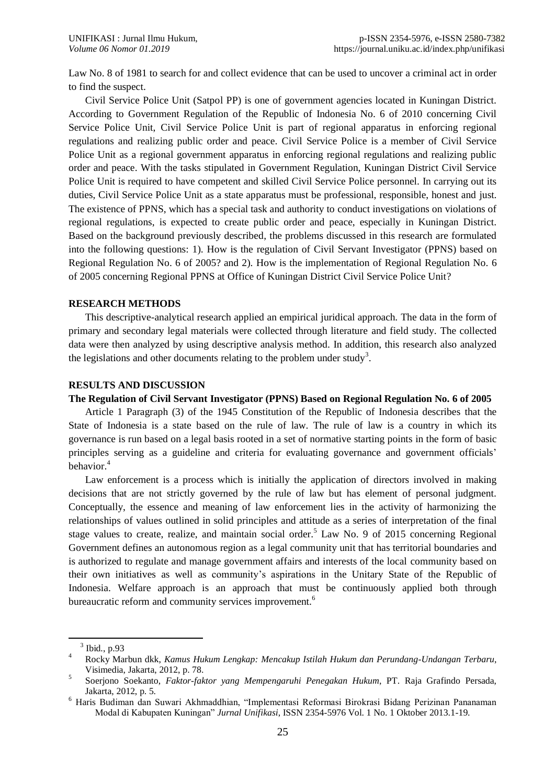Law No. 8 of 1981 to search for and collect evidence that can be used to uncover a criminal act in order to find the suspect.

Civil Service Police Unit (Satpol PP) is one of government agencies located in Kuningan District. According to Government Regulation of the Republic of Indonesia No. 6 of 2010 concerning Civil Service Police Unit, Civil Service Police Unit is part of regional apparatus in enforcing regional regulations and realizing public order and peace. Civil Service Police is a member of Civil Service Police Unit as a regional government apparatus in enforcing regional regulations and realizing public order and peace. With the tasks stipulated in Government Regulation, Kuningan District Civil Service Police Unit is required to have competent and skilled Civil Service Police personnel. In carrying out its duties, Civil Service Police Unit as a state apparatus must be professional, responsible, honest and just. The existence of PPNS, which has a special task and authority to conduct investigations on violations of regional regulations, is expected to create public order and peace, especially in Kuningan District. Based on the background previously described, the problems discussed in this research are formulated into the following questions: 1). How is the regulation of Civil Servant Investigator (PPNS) based on Regional Regulation No. 6 of 2005? and 2). How is the implementation of Regional Regulation No. 6 of 2005 concerning Regional PPNS at Office of Kuningan District Civil Service Police Unit?

## **RESEARCH METHODS**

This descriptive-analytical research applied an empirical juridical approach. The data in the form of primary and secondary legal materials were collected through literature and field study. The collected data were then analyzed by using descriptive analysis method. In addition, this research also analyzed the legislations and other documents relating to the problem under study<sup>3</sup>.

## **RESULTS AND DISCUSSION**

## **The Regulation of Civil Servant Investigator (PPNS) Based on Regional Regulation No. 6 of 2005**

Article 1 Paragraph (3) of the 1945 Constitution of the Republic of Indonesia describes that the State of Indonesia is a state based on the rule of law. The rule of law is a country in which its governance is run based on a legal basis rooted in a set of normative starting points in the form of basic principles serving as a guideline and criteria for evaluating governance and government officials' behavior.<sup>4</sup>

Law enforcement is a process which is initially the application of directors involved in making decisions that are not strictly governed by the rule of law but has element of personal judgment. Conceptually, the essence and meaning of law enforcement lies in the activity of harmonizing the relationships of values outlined in solid principles and attitude as a series of interpretation of the final stage values to create, realize, and maintain social order.<sup>5</sup> Law No. 9 of 2015 concerning Regional Government defines an autonomous region as a legal community unit that has territorial boundaries and is authorized to regulate and manage government affairs and interests of the local community based on their own initiatives as well as community's aspirations in the Unitary State of the Republic of Indonesia. Welfare approach is an approach that must be continuously applied both through bureaucratic reform and community services improvement.<sup>6</sup>

l

<sup>3</sup> Ibid., p.93

 $\overline{4}$ <sup>4</sup> Rocky Marbun dkk, *Kamus Hukum Lengkap: Mencakup Istilah Hukum dan Perundang-Undangan Terbaru*, Visimedia, Jakarta, 2012, p. 78.

<sup>5</sup> Soerjono Soekanto, *Faktor-faktor yang Mempengaruhi Penegakan Hukum*, PT. Raja Grafindo Persada, Jakarta, 2012, p. 5.

<sup>6</sup> Haris Budiman dan Suwari Akhmaddhian, "Implementasi Reformasi Birokrasi Bidang Perizinan Pananaman Modal di Kabupaten Kuningan" *Jurnal Unifikasi*, ISSN 2354-5976 Vol. 1 No. 1 Oktober 2013.1-19.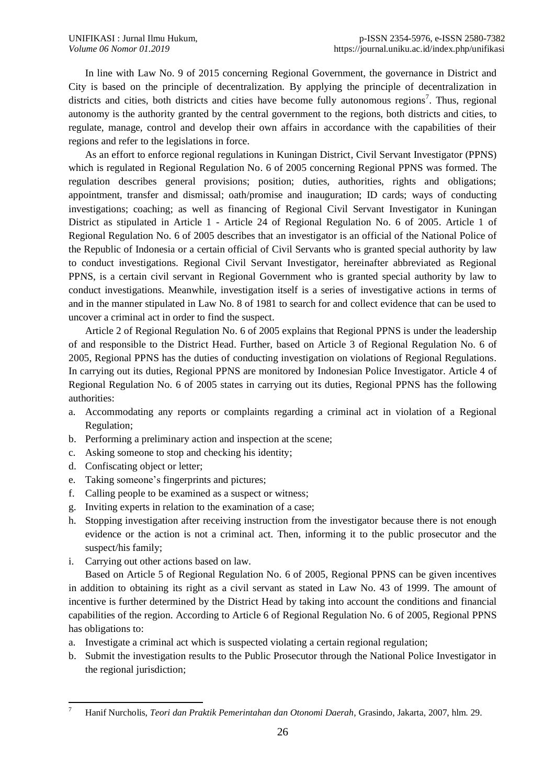In line with Law No. 9 of 2015 concerning Regional Government, the governance in District and City is based on the principle of decentralization. By applying the principle of decentralization in districts and cities, both districts and cities have become fully autonomous regions<sup>7</sup>. Thus, regional autonomy is the authority granted by the central government to the regions, both districts and cities, to regulate, manage, control and develop their own affairs in accordance with the capabilities of their regions and refer to the legislations in force.

As an effort to enforce regional regulations in Kuningan District, Civil Servant Investigator (PPNS) which is regulated in Regional Regulation No. 6 of 2005 concerning Regional PPNS was formed. The regulation describes general provisions; position; duties, authorities, rights and obligations; appointment, transfer and dismissal; oath/promise and inauguration; ID cards; ways of conducting investigations; coaching; as well as financing of Regional Civil Servant Investigator in Kuningan District as stipulated in Article 1 - Article 24 of Regional Regulation No. 6 of 2005. Article 1 of Regional Regulation No. 6 of 2005 describes that an investigator is an official of the National Police of the Republic of Indonesia or a certain official of Civil Servants who is granted special authority by law to conduct investigations. Regional Civil Servant Investigator, hereinafter abbreviated as Regional PPNS, is a certain civil servant in Regional Government who is granted special authority by law to conduct investigations. Meanwhile, investigation itself is a series of investigative actions in terms of and in the manner stipulated in Law No. 8 of 1981 to search for and collect evidence that can be used to uncover a criminal act in order to find the suspect.

Article 2 of Regional Regulation No. 6 of 2005 explains that Regional PPNS is under the leadership of and responsible to the District Head. Further, based on Article 3 of Regional Regulation No. 6 of 2005, Regional PPNS has the duties of conducting investigation on violations of Regional Regulations. In carrying out its duties, Regional PPNS are monitored by Indonesian Police Investigator. Article 4 of Regional Regulation No. 6 of 2005 states in carrying out its duties, Regional PPNS has the following authorities:

- a. Accommodating any reports or complaints regarding a criminal act in violation of a Regional Regulation;
- b. Performing a preliminary action and inspection at the scene;
- c. Asking someone to stop and checking his identity;
- d. Confiscating object or letter;
- e. Taking someone's fingerprints and pictures;
- f. Calling people to be examined as a suspect or witness;
- g. Inviting experts in relation to the examination of a case;
- h. Stopping investigation after receiving instruction from the investigator because there is not enough evidence or the action is not a criminal act. Then, informing it to the public prosecutor and the suspect/his family;
- i. Carrying out other actions based on law.

Based on Article 5 of Regional Regulation No. 6 of 2005, Regional PPNS can be given incentives in addition to obtaining its right as a civil servant as stated in Law No. 43 of 1999. The amount of incentive is further determined by the District Head by taking into account the conditions and financial capabilities of the region. According to Article 6 of Regional Regulation No. 6 of 2005, Regional PPNS has obligations to:

- a. Investigate a criminal act which is suspected violating a certain regional regulation;
- b. Submit the investigation results to the Public Prosecutor through the National Police Investigator in the regional jurisdiction;

 $\overline{7}$ <sup>7</sup> Hanif Nurcholis, *Teori dan Praktik Pemerintahan dan Otonomi Daerah*, Grasindo, Jakarta, 2007, hlm. 29.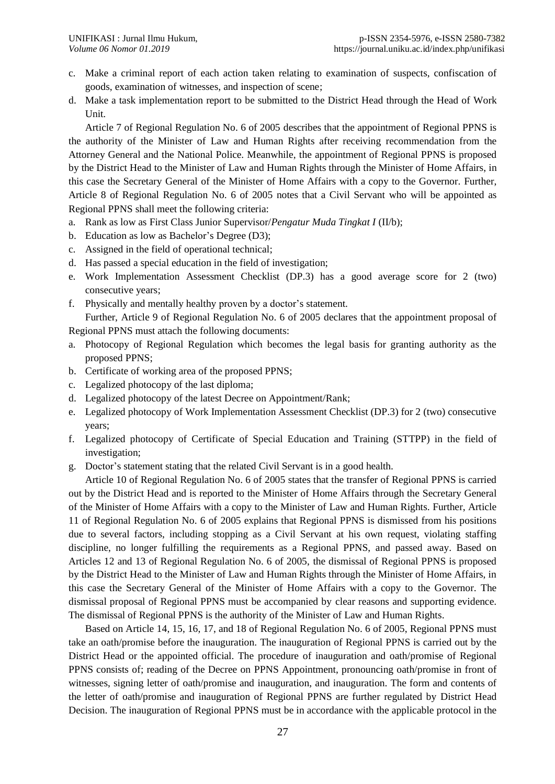- c. Make a criminal report of each action taken relating to examination of suspects, confiscation of goods, examination of witnesses, and inspection of scene;
- d. Make a task implementation report to be submitted to the District Head through the Head of Work Unit.

Article 7 of Regional Regulation No. 6 of 2005 describes that the appointment of Regional PPNS is the authority of the Minister of Law and Human Rights after receiving recommendation from the Attorney General and the National Police. Meanwhile, the appointment of Regional PPNS is proposed by the District Head to the Minister of Law and Human Rights through the Minister of Home Affairs, in this case the Secretary General of the Minister of Home Affairs with a copy to the Governor. Further, Article 8 of Regional Regulation No. 6 of 2005 notes that a Civil Servant who will be appointed as Regional PPNS shall meet the following criteria:

- a. Rank as low as First Class Junior Supervisor/*Pengatur Muda Tingkat I* (II/b);
- b. Education as low as Bachelor's Degree (D3);
- c. Assigned in the field of operational technical;
- d. Has passed a special education in the field of investigation;
- e. Work Implementation Assessment Checklist (DP.3) has a good average score for 2 (two) consecutive years;
- f. Physically and mentally healthy proven by a doctor's statement.

Further, Article 9 of Regional Regulation No. 6 of 2005 declares that the appointment proposal of Regional PPNS must attach the following documents:

- a. Photocopy of Regional Regulation which becomes the legal basis for granting authority as the proposed PPNS;
- b. Certificate of working area of the proposed PPNS;
- c. Legalized photocopy of the last diploma;
- d. Legalized photocopy of the latest Decree on Appointment/Rank;
- e. Legalized photocopy of Work Implementation Assessment Checklist (DP.3) for 2 (two) consecutive years;
- f. Legalized photocopy of Certificate of Special Education and Training (STTPP) in the field of investigation;
- g. Doctor's statement stating that the related Civil Servant is in a good health.

Article 10 of Regional Regulation No. 6 of 2005 states that the transfer of Regional PPNS is carried out by the District Head and is reported to the Minister of Home Affairs through the Secretary General of the Minister of Home Affairs with a copy to the Minister of Law and Human Rights. Further, Article 11 of Regional Regulation No. 6 of 2005 explains that Regional PPNS is dismissed from his positions due to several factors, including stopping as a Civil Servant at his own request, violating staffing discipline, no longer fulfilling the requirements as a Regional PPNS, and passed away. Based on Articles 12 and 13 of Regional Regulation No. 6 of 2005, the dismissal of Regional PPNS is proposed by the District Head to the Minister of Law and Human Rights through the Minister of Home Affairs, in this case the Secretary General of the Minister of Home Affairs with a copy to the Governor. The dismissal proposal of Regional PPNS must be accompanied by clear reasons and supporting evidence. The dismissal of Regional PPNS is the authority of the Minister of Law and Human Rights.

Based on Article 14, 15, 16, 17, and 18 of Regional Regulation No. 6 of 2005, Regional PPNS must take an oath/promise before the inauguration. The inauguration of Regional PPNS is carried out by the District Head or the appointed official. The procedure of inauguration and oath/promise of Regional PPNS consists of; reading of the Decree on PPNS Appointment, pronouncing oath/promise in front of witnesses, signing letter of oath/promise and inauguration, and inauguration. The form and contents of the letter of oath/promise and inauguration of Regional PPNS are further regulated by District Head Decision. The inauguration of Regional PPNS must be in accordance with the applicable protocol in the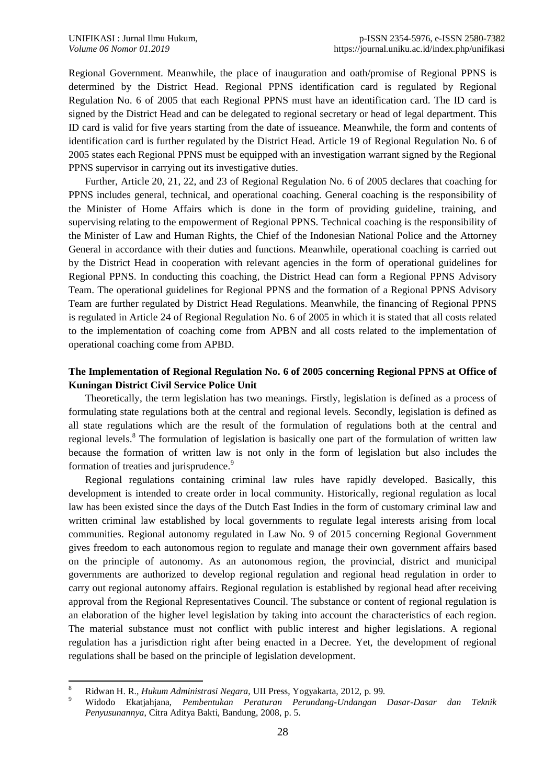Regional Government. Meanwhile, the place of inauguration and oath/promise of Regional PPNS is determined by the District Head. Regional PPNS identification card is regulated by Regional Regulation No. 6 of 2005 that each Regional PPNS must have an identification card. The ID card is signed by the District Head and can be delegated to regional secretary or head of legal department. This ID card is valid for five years starting from the date of issueance. Meanwhile, the form and contents of identification card is further regulated by the District Head. Article 19 of Regional Regulation No. 6 of 2005 states each Regional PPNS must be equipped with an investigation warrant signed by the Regional PPNS supervisor in carrying out its investigative duties.

Further, Article 20, 21, 22, and 23 of Regional Regulation No. 6 of 2005 declares that coaching for PPNS includes general, technical, and operational coaching. General coaching is the responsibility of the Minister of Home Affairs which is done in the form of providing guideline, training, and supervising relating to the empowerment of Regional PPNS. Technical coaching is the responsibility of the Minister of Law and Human Rights, the Chief of the Indonesian National Police and the Attorney General in accordance with their duties and functions. Meanwhile, operational coaching is carried out by the District Head in cooperation with relevant agencies in the form of operational guidelines for Regional PPNS. In conducting this coaching, the District Head can form a Regional PPNS Advisory Team. The operational guidelines for Regional PPNS and the formation of a Regional PPNS Advisory Team are further regulated by District Head Regulations. Meanwhile, the financing of Regional PPNS is regulated in Article 24 of Regional Regulation No. 6 of 2005 in which it is stated that all costs related to the implementation of coaching come from APBN and all costs related to the implementation of operational coaching come from APBD.

# **The Implementation of Regional Regulation No. 6 of 2005 concerning Regional PPNS at Office of Kuningan District Civil Service Police Unit**

Theoretically, the term legislation has two meanings. Firstly, legislation is defined as a process of formulating state regulations both at the central and regional levels. Secondly, legislation is defined as all state regulations which are the result of the formulation of regulations both at the central and regional levels.<sup>8</sup> The formulation of legislation is basically one part of the formulation of written law because the formation of written law is not only in the form of legislation but also includes the formation of treaties and jurisprudence.<sup>9</sup>

Regional regulations containing criminal law rules have rapidly developed. Basically, this development is intended to create order in local community. Historically, regional regulation as local law has been existed since the days of the Dutch East Indies in the form of customary criminal law and written criminal law established by local governments to regulate legal interests arising from local communities. Regional autonomy regulated in Law No. 9 of 2015 concerning Regional Government gives freedom to each autonomous region to regulate and manage their own government affairs based on the principle of autonomy. As an autonomous region, the provincial, district and municipal governments are authorized to develop regional regulation and regional head regulation in order to carry out regional autonomy affairs. Regional regulation is established by regional head after receiving approval from the Regional Representatives Council. The substance or content of regional regulation is an elaboration of the higher level legislation by taking into account the characteristics of each region. The material substance must not conflict with public interest and higher legislations. A regional regulation has a jurisdiction right after being enacted in a Decree. Yet, the development of regional regulations shall be based on the principle of legislation development.

 $\,8\,$ <sup>8</sup> Ridwan H. R., *Hukum Administrasi Negara*, UII Press, Yogyakarta, 2012, p. 99.

<sup>9</sup> Widodo Ekatjahjana, *Pembentukan Peraturan Perundang-Undangan Dasar-Dasar dan Teknik Penyusunannya*, Citra Aditya Bakti, Bandung, 2008, p. 5.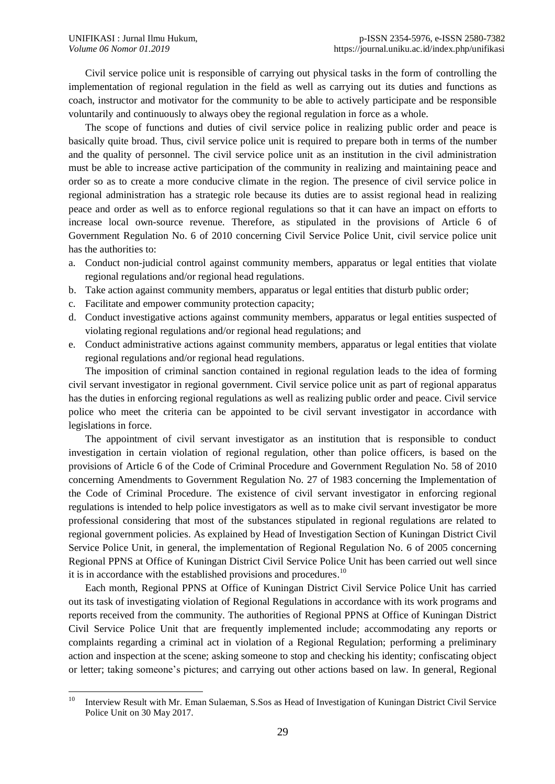Civil service police unit is responsible of carrying out physical tasks in the form of controlling the implementation of regional regulation in the field as well as carrying out its duties and functions as coach, instructor and motivator for the community to be able to actively participate and be responsible voluntarily and continuously to always obey the regional regulation in force as a whole.

The scope of functions and duties of civil service police in realizing public order and peace is basically quite broad. Thus, civil service police unit is required to prepare both in terms of the number and the quality of personnel. The civil service police unit as an institution in the civil administration must be able to increase active participation of the community in realizing and maintaining peace and order so as to create a more conducive climate in the region. The presence of civil service police in regional administration has a strategic role because its duties are to assist regional head in realizing peace and order as well as to enforce regional regulations so that it can have an impact on efforts to increase local own-source revenue. Therefore, as stipulated in the provisions of Article 6 of Government Regulation No. 6 of 2010 concerning Civil Service Police Unit, civil service police unit has the authorities to:

- a. Conduct non-judicial control against community members, apparatus or legal entities that violate regional regulations and/or regional head regulations.
- b. Take action against community members, apparatus or legal entities that disturb public order;
- c. Facilitate and empower community protection capacity;
- d. Conduct investigative actions against community members, apparatus or legal entities suspected of violating regional regulations and/or regional head regulations; and
- e. Conduct administrative actions against community members, apparatus or legal entities that violate regional regulations and/or regional head regulations.

The imposition of criminal sanction contained in regional regulation leads to the idea of forming civil servant investigator in regional government. Civil service police unit as part of regional apparatus has the duties in enforcing regional regulations as well as realizing public order and peace. Civil service police who meet the criteria can be appointed to be civil servant investigator in accordance with legislations in force.

The appointment of civil servant investigator as an institution that is responsible to conduct investigation in certain violation of regional regulation, other than police officers, is based on the provisions of Article 6 of the Code of Criminal Procedure and Government Regulation No. 58 of 2010 concerning Amendments to Government Regulation No. 27 of 1983 concerning the Implementation of the Code of Criminal Procedure. The existence of civil servant investigator in enforcing regional regulations is intended to help police investigators as well as to make civil servant investigator be more professional considering that most of the substances stipulated in regional regulations are related to regional government policies. As explained by Head of Investigation Section of Kuningan District Civil Service Police Unit, in general, the implementation of Regional Regulation No. 6 of 2005 concerning Regional PPNS at Office of Kuningan District Civil Service Police Unit has been carried out well since it is in accordance with the established provisions and procedures.<sup>10</sup>

Each month, Regional PPNS at Office of Kuningan District Civil Service Police Unit has carried out its task of investigating violation of Regional Regulations in accordance with its work programs and reports received from the community. The authorities of Regional PPNS at Office of Kuningan District Civil Service Police Unit that are frequently implemented include; accommodating any reports or complaints regarding a criminal act in violation of a Regional Regulation; performing a preliminary action and inspection at the scene; asking someone to stop and checking his identity; confiscating object or letter; taking someone's pictures; and carrying out other actions based on law. In general, Regional

 $10$ <sup>10</sup> Interview Result with Mr. Eman Sulaeman, S.Sos as Head of Investigation of Kuningan District Civil Service Police Unit on 30 May 2017.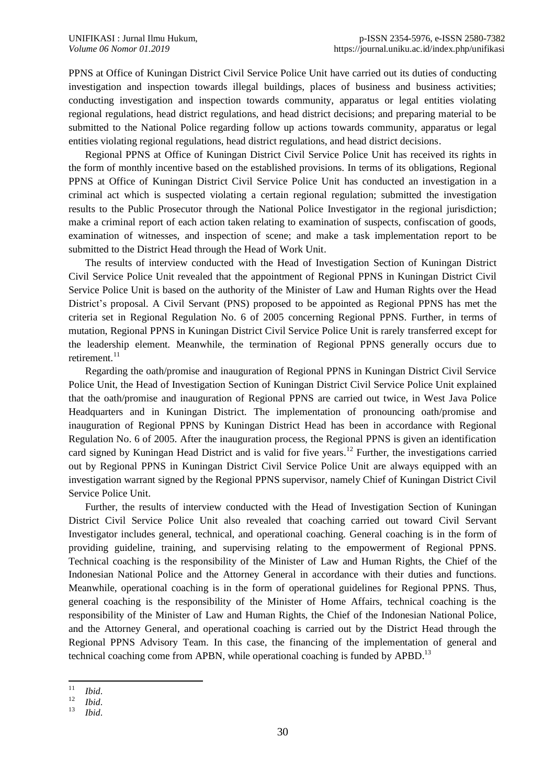PPNS at Office of Kuningan District Civil Service Police Unit have carried out its duties of conducting investigation and inspection towards illegal buildings, places of business and business activities; conducting investigation and inspection towards community, apparatus or legal entities violating regional regulations, head district regulations, and head district decisions; and preparing material to be submitted to the National Police regarding follow up actions towards community, apparatus or legal entities violating regional regulations, head district regulations, and head district decisions.

Regional PPNS at Office of Kuningan District Civil Service Police Unit has received its rights in the form of monthly incentive based on the established provisions. In terms of its obligations, Regional PPNS at Office of Kuningan District Civil Service Police Unit has conducted an investigation in a criminal act which is suspected violating a certain regional regulation; submitted the investigation results to the Public Prosecutor through the National Police Investigator in the regional jurisdiction; make a criminal report of each action taken relating to examination of suspects, confiscation of goods, examination of witnesses, and inspection of scene; and make a task implementation report to be submitted to the District Head through the Head of Work Unit.

The results of interview conducted with the Head of Investigation Section of Kuningan District Civil Service Police Unit revealed that the appointment of Regional PPNS in Kuningan District Civil Service Police Unit is based on the authority of the Minister of Law and Human Rights over the Head District's proposal. A Civil Servant (PNS) proposed to be appointed as Regional PPNS has met the criteria set in Regional Regulation No. 6 of 2005 concerning Regional PPNS. Further, in terms of mutation, Regional PPNS in Kuningan District Civil Service Police Unit is rarely transferred except for the leadership element. Meanwhile, the termination of Regional PPNS generally occurs due to retirement. 11

Regarding the oath/promise and inauguration of Regional PPNS in Kuningan District Civil Service Police Unit, the Head of Investigation Section of Kuningan District Civil Service Police Unit explained that the oath/promise and inauguration of Regional PPNS are carried out twice, in West Java Police Headquarters and in Kuningan District. The implementation of pronouncing oath/promise and inauguration of Regional PPNS by Kuningan District Head has been in accordance with Regional Regulation No. 6 of 2005. After the inauguration process, the Regional PPNS is given an identification card signed by Kuningan Head District and is valid for five years. <sup>12</sup> Further, the investigations carried out by Regional PPNS in Kuningan District Civil Service Police Unit are always equipped with an investigation warrant signed by the Regional PPNS supervisor, namely Chief of Kuningan District Civil Service Police Unit.

Further, the results of interview conducted with the Head of Investigation Section of Kuningan District Civil Service Police Unit also revealed that coaching carried out toward Civil Servant Investigator includes general, technical, and operational coaching. General coaching is in the form of providing guideline, training, and supervising relating to the empowerment of Regional PPNS. Technical coaching is the responsibility of the Minister of Law and Human Rights, the Chief of the Indonesian National Police and the Attorney General in accordance with their duties and functions. Meanwhile, operational coaching is in the form of operational guidelines for Regional PPNS. Thus, general coaching is the responsibility of the Minister of Home Affairs, technical coaching is the responsibility of the Minister of Law and Human Rights, the Chief of the Indonesian National Police, and the Attorney General, and operational coaching is carried out by the District Head through the Regional PPNS Advisory Team. In this case, the financing of the implementation of general and technical coaching come from APBN, while operational coaching is funded by APBD.<sup>13</sup>

 $11\,$  $\frac{11}{12}$  *Ibid.* 

 $\frac{12}{13}$  *Ibid.* 

<sup>13</sup> *Ibid*.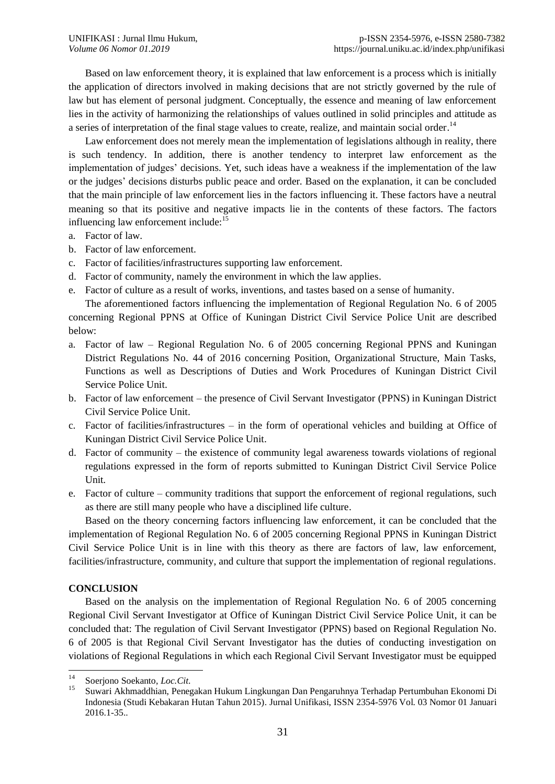Based on law enforcement theory, it is explained that law enforcement is a process which is initially the application of directors involved in making decisions that are not strictly governed by the rule of law but has element of personal judgment. Conceptually, the essence and meaning of law enforcement lies in the activity of harmonizing the relationships of values outlined in solid principles and attitude as a series of interpretation of the final stage values to create, realize, and maintain social order.<sup>14</sup>

Law enforcement does not merely mean the implementation of legislations although in reality, there is such tendency. In addition, there is another tendency to interpret law enforcement as the implementation of judges' decisions. Yet, such ideas have a weakness if the implementation of the law or the judges' decisions disturbs public peace and order. Based on the explanation, it can be concluded that the main principle of law enforcement lies in the factors influencing it. These factors have a neutral meaning so that its positive and negative impacts lie in the contents of these factors. The factors influencing law enforcement include:<sup>15</sup>

- a. Factor of law.
- b. Factor of law enforcement.
- c. Factor of facilities/infrastructures supporting law enforcement.
- d. Factor of community, namely the environment in which the law applies.
- e. Factor of culture as a result of works, inventions, and tastes based on a sense of humanity.

The aforementioned factors influencing the implementation of Regional Regulation No. 6 of 2005 concerning Regional PPNS at Office of Kuningan District Civil Service Police Unit are described below:

- a. Factor of law Regional Regulation No. 6 of 2005 concerning Regional PPNS and Kuningan District Regulations No. 44 of 2016 concerning Position, Organizational Structure, Main Tasks, Functions as well as Descriptions of Duties and Work Procedures of Kuningan District Civil Service Police Unit.
- b. Factor of law enforcement the presence of Civil Servant Investigator (PPNS) in Kuningan District Civil Service Police Unit.
- c. Factor of facilities/infrastructures in the form of operational vehicles and building at Office of Kuningan District Civil Service Police Unit.
- d. Factor of community the existence of community legal awareness towards violations of regional regulations expressed in the form of reports submitted to Kuningan District Civil Service Police Unit.
- e. Factor of culture community traditions that support the enforcement of regional regulations, such as there are still many people who have a disciplined life culture.

Based on the theory concerning factors influencing law enforcement, it can be concluded that the implementation of Regional Regulation No. 6 of 2005 concerning Regional PPNS in Kuningan District Civil Service Police Unit is in line with this theory as there are factors of law, law enforcement, facilities/infrastructure, community, and culture that support the implementation of regional regulations.

# **CONCLUSION**

Based on the analysis on the implementation of Regional Regulation No. 6 of 2005 concerning Regional Civil Servant Investigator at Office of Kuningan District Civil Service Police Unit, it can be concluded that: The regulation of Civil Servant Investigator (PPNS) based on Regional Regulation No. 6 of 2005 is that Regional Civil Servant Investigator has the duties of conducting investigation on violations of Regional Regulations in which each Regional Civil Servant Investigator must be equipped

 $14$ <sup>14</sup> Soerjono Soekanto, *Loc.Cit*.

<sup>15</sup> Suwari Akhmaddhian, Penegakan Hukum Lingkungan Dan Pengaruhnya Terhadap Pertumbuhan Ekonomi Di Indonesia (Studi Kebakaran Hutan Tahun 2015). Jurnal Unifikasi, ISSN 2354-5976 Vol. 03 Nomor 01 Januari 2016.1-35..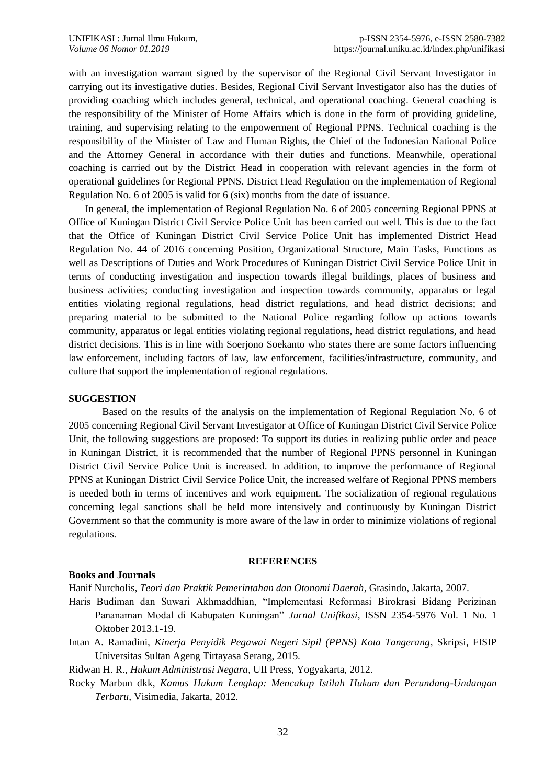with an investigation warrant signed by the supervisor of the Regional Civil Servant Investigator in carrying out its investigative duties. Besides, Regional Civil Servant Investigator also has the duties of providing coaching which includes general, technical, and operational coaching. General coaching is the responsibility of the Minister of Home Affairs which is done in the form of providing guideline, training, and supervising relating to the empowerment of Regional PPNS. Technical coaching is the responsibility of the Minister of Law and Human Rights, the Chief of the Indonesian National Police and the Attorney General in accordance with their duties and functions. Meanwhile, operational coaching is carried out by the District Head in cooperation with relevant agencies in the form of operational guidelines for Regional PPNS. District Head Regulation on the implementation of Regional Regulation No. 6 of 2005 is valid for 6 (six) months from the date of issuance.

In general, the implementation of Regional Regulation No. 6 of 2005 concerning Regional PPNS at Office of Kuningan District Civil Service Police Unit has been carried out well. This is due to the fact that the Office of Kuningan District Civil Service Police Unit has implemented District Head Regulation No. 44 of 2016 concerning Position, Organizational Structure, Main Tasks, Functions as well as Descriptions of Duties and Work Procedures of Kuningan District Civil Service Police Unit in terms of conducting investigation and inspection towards illegal buildings, places of business and business activities; conducting investigation and inspection towards community, apparatus or legal entities violating regional regulations, head district regulations, and head district decisions; and preparing material to be submitted to the National Police regarding follow up actions towards community, apparatus or legal entities violating regional regulations, head district regulations, and head district decisions. This is in line with Soerjono Soekanto who states there are some factors influencing law enforcement, including factors of law, law enforcement, facilities/infrastructure, community, and culture that support the implementation of regional regulations.

# **SUGGESTION**

Based on the results of the analysis on the implementation of Regional Regulation No. 6 of 2005 concerning Regional Civil Servant Investigator at Office of Kuningan District Civil Service Police Unit, the following suggestions are proposed: To support its duties in realizing public order and peace in Kuningan District, it is recommended that the number of Regional PPNS personnel in Kuningan District Civil Service Police Unit is increased. In addition, to improve the performance of Regional PPNS at Kuningan District Civil Service Police Unit, the increased welfare of Regional PPNS members is needed both in terms of incentives and work equipment. The socialization of regional regulations concerning legal sanctions shall be held more intensively and continuously by Kuningan District Government so that the community is more aware of the law in order to minimize violations of regional regulations.

#### **REFERENCES**

## **Books and Journals**

Hanif Nurcholis, *Teori dan Praktik Pemerintahan dan Otonomi Daerah*, Grasindo, Jakarta, 2007.

- Haris Budiman dan Suwari Akhmaddhian, "Implementasi Reformasi Birokrasi Bidang Perizinan Pananaman Modal di Kabupaten Kuningan" *Jurnal Unifikasi*, ISSN 2354-5976 Vol. 1 No. 1 Oktober 2013.1-19.
- Intan A. Ramadini, *Kinerja Penyidik Pegawai Negeri Sipil (PPNS) Kota Tangerang*, Skripsi, FISIP Universitas Sultan Ageng Tirtayasa Serang, 2015.

Ridwan H. R., *Hukum Administrasi Negara*, UII Press, Yogyakarta, 2012.

Rocky Marbun dkk, *Kamus Hukum Lengkap: Mencakup Istilah Hukum dan Perundang-Undangan Terbaru*, Visimedia, Jakarta, 2012.